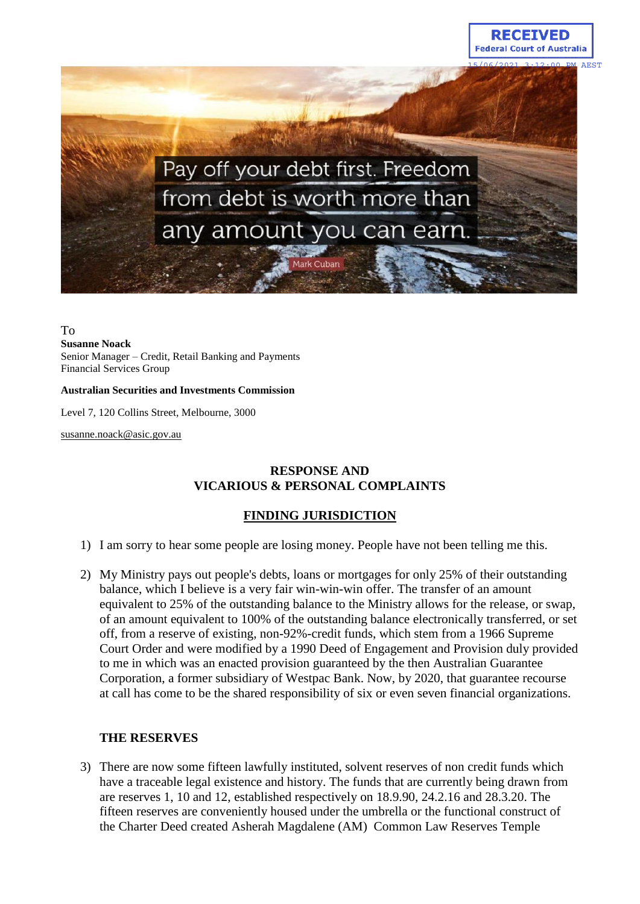



#### To **Susanne Noack**

Senior Manager – Credit, Retail Banking and Payments Financial Services Group

#### **Australian Securities and Investments Commission**

Level 7, 120 Collins Street, Melbourne, 3000

susanne.noack@asic.gov.au

## **RESPONSE AND VICARIOUS & PERSONAL COMPLAINTS**

## **FINDING JURISDICTION**

- 1) I am sorry to hear some people are losing money. People have not been telling me this.
- 2) My Ministry pays out people's debts, loans or mortgages for only 25% of their outstanding balance, which I believe is a very fair win-win-win offer. The transfer of an amount equivalent to 25% of the outstanding balance to the Ministry allows for the release, or swap, of an amount equivalent to 100% of the outstanding balance electronically transferred, or set off, from a reserve of existing, non-92%-credit funds, which stem from a 1966 Supreme Court Order and were modified by a 1990 Deed of Engagement and Provision duly provided to me in which was an enacted provision guaranteed by the then Australian Guarantee Corporation, a former subsidiary of Westpac Bank. Now, by 2020, that guarantee recourse at call has come to be the shared responsibility of six or even seven financial organizations.

## **THE RESERVES**

3) There are now some fifteen lawfully instituted, solvent reserves of non credit funds which have a traceable legal existence and history. The funds that are currently being drawn from are reserves 1, 10 and 12, established respectively on 18.9.90, 24.2.16 and 28.3.20. The fifteen reserves are conveniently housed under the umbrella or the functional construct of the Charter Deed created Asherah Magdalene (AM) Common Law Reserves Temple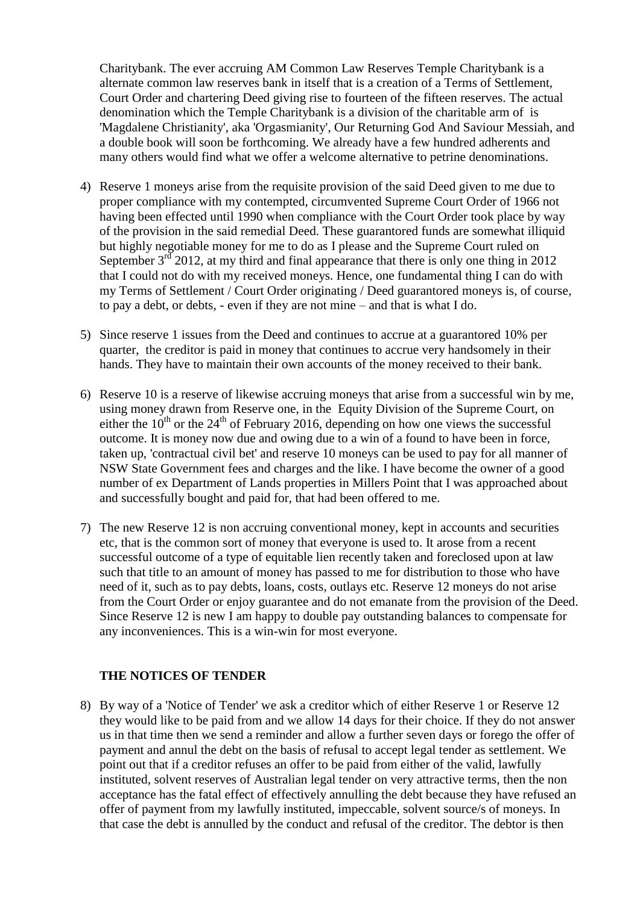Charitybank. The ever accruing AM Common Law Reserves Temple Charitybank is a alternate common law reserves bank in itself that is a creation of a Terms of Settlement, Court Order and chartering Deed giving rise to fourteen of the fifteen reserves. The actual denomination which the Temple Charitybank is a division of the charitable arm of is 'Magdalene Christianity', aka 'Orgasmianity', Our Returning God And Saviour Messiah, and a double book will soon be forthcoming. We already have a few hundred adherents and many others would find what we offer a welcome alternative to petrine denominations.

- 4) Reserve 1 moneys arise from the requisite provision of the said Deed given to me due to proper compliance with my contempted, circumvented Supreme Court Order of 1966 not having been effected until 1990 when compliance with the Court Order took place by way of the provision in the said remedial Deed. These guarantored funds are somewhat illiquid but highly negotiable money for me to do as I please and the Supreme Court ruled on September  $3<sup>rd</sup>$  2012, at my third and final appearance that there is only one thing in 2012 that I could not do with my received moneys. Hence, one fundamental thing I can do with my Terms of Settlement / Court Order originating / Deed guarantored moneys is, of course, to pay a debt, or debts, - even if they are not mine – and that is what I do.
- 5) Since reserve 1 issues from the Deed and continues to accrue at a guarantored 10% per quarter, the creditor is paid in money that continues to accrue very handsomely in their hands. They have to maintain their own accounts of the money received to their bank.
- 6) Reserve 10 is a reserve of likewise accruing moneys that arise from a successful win by me, using money drawn from Reserve one, in the Equity Division of the Supreme Court, on either the  $10^{th}$  or the  $24^{th}$  of February 2016, depending on how one views the successful outcome. It is money now due and owing due to a win of a found to have been in force, taken up, 'contractual civil bet' and reserve 10 moneys can be used to pay for all manner of NSW State Government fees and charges and the like. I have become the owner of a good number of ex Department of Lands properties in Millers Point that I was approached about and successfully bought and paid for, that had been offered to me.
- 7) The new Reserve 12 is non accruing conventional money, kept in accounts and securities etc, that is the common sort of money that everyone is used to. It arose from a recent successful outcome of a type of equitable lien recently taken and foreclosed upon at law such that title to an amount of money has passed to me for distribution to those who have need of it, such as to pay debts, loans, costs, outlays etc. Reserve 12 moneys do not arise from the Court Order or enjoy guarantee and do not emanate from the provision of the Deed. Since Reserve 12 is new I am happy to double pay outstanding balances to compensate for any inconveniences. This is a win-win for most everyone.

## **THE NOTICES OF TENDER**

8) By way of a 'Notice of Tender' we ask a creditor which of either Reserve 1 or Reserve 12 they would like to be paid from and we allow 14 days for their choice. If they do not answer us in that time then we send a reminder and allow a further seven days or forego the offer of payment and annul the debt on the basis of refusal to accept legal tender as settlement. We point out that if a creditor refuses an offer to be paid from either of the valid, lawfully instituted, solvent reserves of Australian legal tender on very attractive terms, then the non acceptance has the fatal effect of effectively annulling the debt because they have refused an offer of payment from my lawfully instituted, impeccable, solvent source/s of moneys. In that case the debt is annulled by the conduct and refusal of the creditor. The debtor is then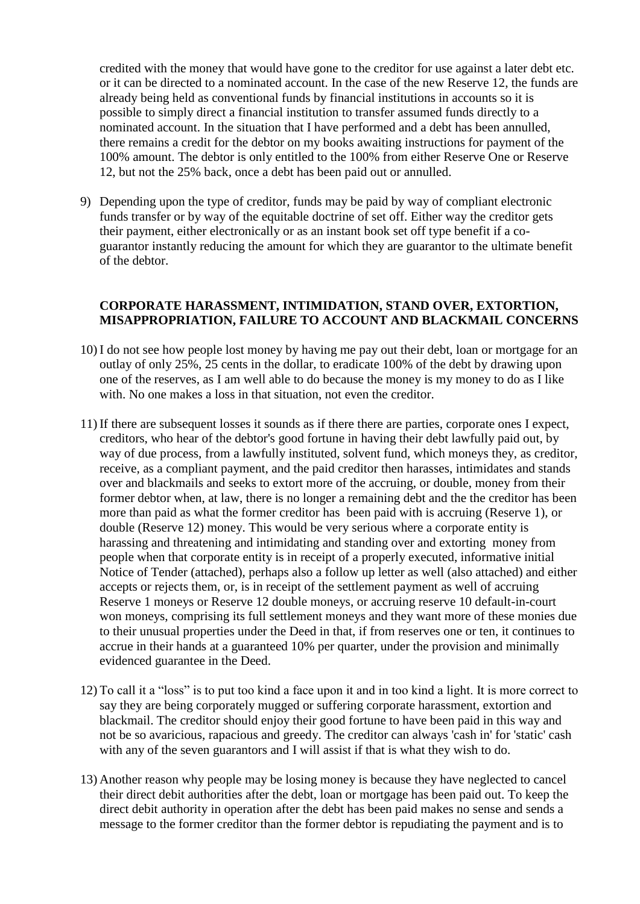credited with the money that would have gone to the creditor for use against a later debt etc. or it can be directed to a nominated account. In the case of the new Reserve 12, the funds are already being held as conventional funds by financial institutions in accounts so it is possible to simply direct a financial institution to transfer assumed funds directly to a nominated account. In the situation that I have performed and a debt has been annulled, there remains a credit for the debtor on my books awaiting instructions for payment of the 100% amount. The debtor is only entitled to the 100% from either Reserve One or Reserve 12, but not the 25% back, once a debt has been paid out or annulled.

9) Depending upon the type of creditor, funds may be paid by way of compliant electronic funds transfer or by way of the equitable doctrine of set off. Either way the creditor gets their payment, either electronically or as an instant book set off type benefit if a coguarantor instantly reducing the amount for which they are guarantor to the ultimate benefit of the debtor.

## **CORPORATE HARASSMENT, INTIMIDATION, STAND OVER, EXTORTION, MISAPPROPRIATION, FAILURE TO ACCOUNT AND BLACKMAIL CONCERNS**

- 10) I do not see how people lost money by having me pay out their debt, loan or mortgage for an outlay of only 25%, 25 cents in the dollar, to eradicate 100% of the debt by drawing upon one of the reserves, as I am well able to do because the money is my money to do as I like with. No one makes a loss in that situation, not even the creditor.
- 11) If there are subsequent losses it sounds as if there there are parties, corporate ones I expect, creditors, who hear of the debtor's good fortune in having their debt lawfully paid out, by way of due process, from a lawfully instituted, solvent fund, which moneys they, as creditor, receive, as a compliant payment, and the paid creditor then harasses, intimidates and stands over and blackmails and seeks to extort more of the accruing, or double, money from their former debtor when, at law, there is no longer a remaining debt and the the creditor has been more than paid as what the former creditor has been paid with is accruing (Reserve 1), or double (Reserve 12) money. This would be very serious where a corporate entity is harassing and threatening and intimidating and standing over and extorting money from people when that corporate entity is in receipt of a properly executed, informative initial Notice of Tender (attached), perhaps also a follow up letter as well (also attached) and either accepts or rejects them, or, is in receipt of the settlement payment as well of accruing Reserve 1 moneys or Reserve 12 double moneys, or accruing reserve 10 default-in-court won moneys, comprising its full settlement moneys and they want more of these monies due to their unusual properties under the Deed in that, if from reserves one or ten, it continues to accrue in their hands at a guaranteed 10% per quarter, under the provision and minimally evidenced guarantee in the Deed.
- 12) To call it a "loss" is to put too kind a face upon it and in too kind a light. It is more correct to say they are being corporately mugged or suffering corporate harassment, extortion and blackmail. The creditor should enjoy their good fortune to have been paid in this way and not be so avaricious, rapacious and greedy. The creditor can always 'cash in' for 'static' cash with any of the seven guarantors and I will assist if that is what they wish to do.
- 13) Another reason why people may be losing money is because they have neglected to cancel their direct debit authorities after the debt, loan or mortgage has been paid out. To keep the direct debit authority in operation after the debt has been paid makes no sense and sends a message to the former creditor than the former debtor is repudiating the payment and is to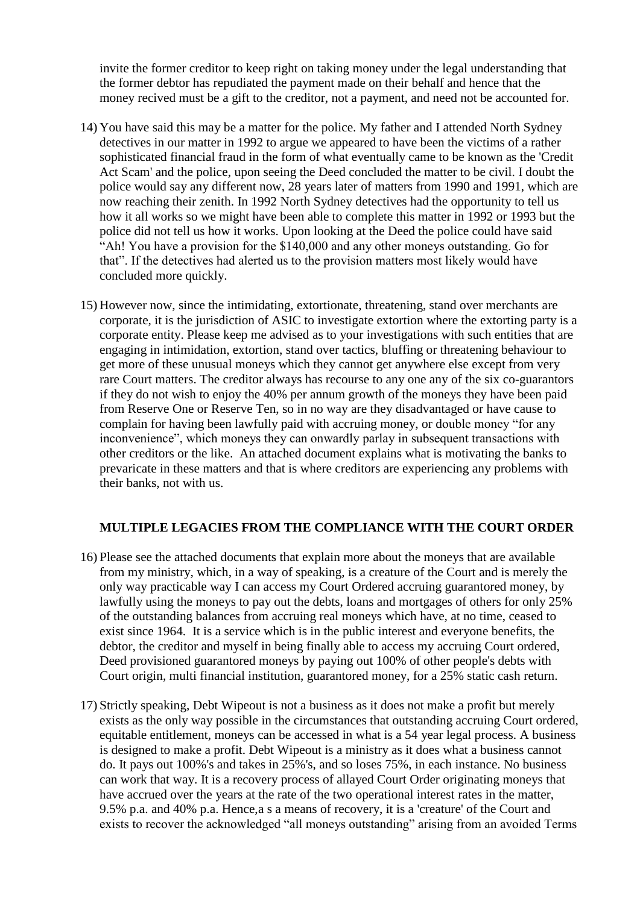invite the former creditor to keep right on taking money under the legal understanding that the former debtor has repudiated the payment made on their behalf and hence that the money recived must be a gift to the creditor, not a payment, and need not be accounted for.

- 14) You have said this may be a matter for the police. My father and I attended North Sydney detectives in our matter in 1992 to argue we appeared to have been the victims of a rather sophisticated financial fraud in the form of what eventually came to be known as the 'Credit Act Scam' and the police, upon seeing the Deed concluded the matter to be civil. I doubt the police would say any different now, 28 years later of matters from 1990 and 1991, which are now reaching their zenith. In 1992 North Sydney detectives had the opportunity to tell us how it all works so we might have been able to complete this matter in 1992 or 1993 but the police did not tell us how it works. Upon looking at the Deed the police could have said "Ah! You have a provision for the \$140,000 and any other moneys outstanding. Go for that". If the detectives had alerted us to the provision matters most likely would have concluded more quickly.
- 15) However now, since the intimidating, extortionate, threatening, stand over merchants are corporate, it is the jurisdiction of ASIC to investigate extortion where the extorting party is a corporate entity. Please keep me advised as to your investigations with such entities that are engaging in intimidation, extortion, stand over tactics, bluffing or threatening behaviour to get more of these unusual moneys which they cannot get anywhere else except from very rare Court matters. The creditor always has recourse to any one any of the six co-guarantors if they do not wish to enjoy the 40% per annum growth of the moneys they have been paid from Reserve One or Reserve Ten, so in no way are they disadvantaged or have cause to complain for having been lawfully paid with accruing money, or double money "for any inconvenience", which moneys they can onwardly parlay in subsequent transactions with other creditors or the like. An attached document explains what is motivating the banks to prevaricate in these matters and that is where creditors are experiencing any problems with their banks, not with us.

### **MULTIPLE LEGACIES FROM THE COMPLIANCE WITH THE COURT ORDER**

- 16) Please see the attached documents that explain more about the moneys that are available from my ministry, which, in a way of speaking, is a creature of the Court and is merely the only way practicable way I can access my Court Ordered accruing guarantored money, by lawfully using the moneys to pay out the debts, loans and mortgages of others for only 25% of the outstanding balances from accruing real moneys which have, at no time, ceased to exist since 1964. It is a service which is in the public interest and everyone benefits, the debtor, the creditor and myself in being finally able to access my accruing Court ordered, Deed provisioned guarantored moneys by paying out 100% of other people's debts with Court origin, multi financial institution, guarantored money, for a 25% static cash return.
- 17) Strictly speaking, Debt Wipeout is not a business as it does not make a profit but merely exists as the only way possible in the circumstances that outstanding accruing Court ordered, equitable entitlement, moneys can be accessed in what is a 54 year legal process. A business is designed to make a profit. Debt Wipeout is a ministry as it does what a business cannot do. It pays out 100%'s and takes in 25%'s, and so loses 75%, in each instance. No business can work that way. It is a recovery process of allayed Court Order originating moneys that have accrued over the years at the rate of the two operational interest rates in the matter, 9.5% p.a. and 40% p.a. Hence,a s a means of recovery, it is a 'creature' of the Court and exists to recover the acknowledged "all moneys outstanding" arising from an avoided Terms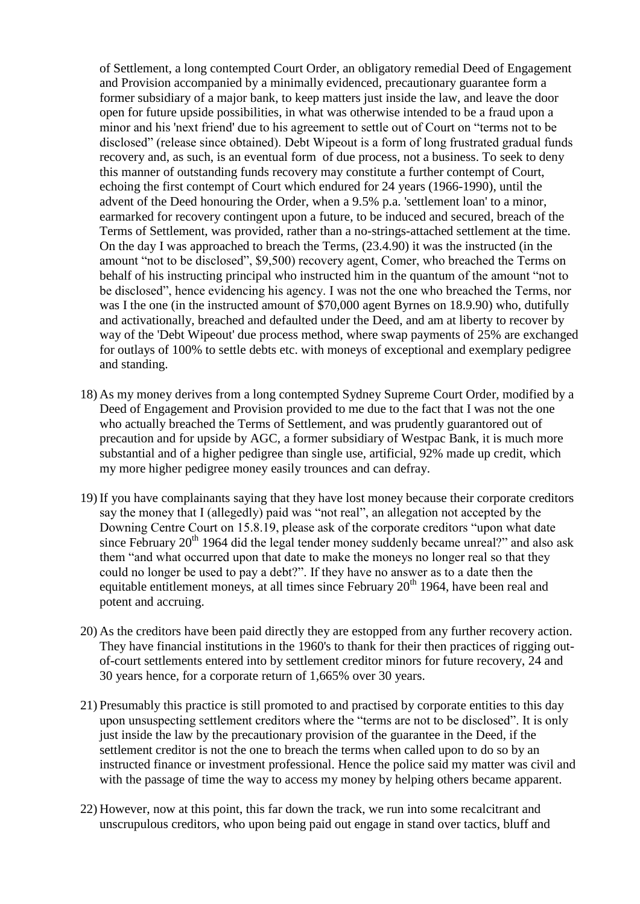of Settlement, a long contempted Court Order, an obligatory remedial Deed of Engagement and Provision accompanied by a minimally evidenced, precautionary guarantee form a former subsidiary of a major bank, to keep matters just inside the law, and leave the door open for future upside possibilities, in what was otherwise intended to be a fraud upon a minor and his 'next friend' due to his agreement to settle out of Court on "terms not to be disclosed" (release since obtained). Debt Wipeout is a form of long frustrated gradual funds recovery and, as such, is an eventual form of due process, not a business. To seek to deny this manner of outstanding funds recovery may constitute a further contempt of Court, echoing the first contempt of Court which endured for 24 years (1966-1990), until the advent of the Deed honouring the Order, when a 9.5% p.a. 'settlement loan' to a minor, earmarked for recovery contingent upon a future, to be induced and secured, breach of the Terms of Settlement, was provided, rather than a no-strings-attached settlement at the time. On the day I was approached to breach the Terms, (23.4.90) it was the instructed (in the amount "not to be disclosed", \$9,500) recovery agent, Comer, who breached the Terms on behalf of his instructing principal who instructed him in the quantum of the amount "not to be disclosed", hence evidencing his agency. I was not the one who breached the Terms, nor was I the one (in the instructed amount of \$70,000 agent Byrnes on 18.9.90) who, dutifully and activationally, breached and defaulted under the Deed, and am at liberty to recover by way of the 'Debt Wipeout' due process method, where swap payments of 25% are exchanged for outlays of 100% to settle debts etc. with moneys of exceptional and exemplary pedigree and standing.

- 18) As my money derives from a long contempted Sydney Supreme Court Order, modified by a Deed of Engagement and Provision provided to me due to the fact that I was not the one who actually breached the Terms of Settlement, and was prudently guarantored out of precaution and for upside by AGC, a former subsidiary of Westpac Bank, it is much more substantial and of a higher pedigree than single use, artificial, 92% made up credit, which my more higher pedigree money easily trounces and can defray.
- 19) If you have complainants saying that they have lost money because their corporate creditors say the money that I (allegedly) paid was "not real", an allegation not accepted by the Downing Centre Court on 15.8.19, please ask of the corporate creditors "upon what date since February  $20<sup>th</sup>$  1964 did the legal tender money suddenly became unreal?" and also ask them "and what occurred upon that date to make the moneys no longer real so that they could no longer be used to pay a debt?". If they have no answer as to a date then the equitable entitlement moneys, at all times since February  $20<sup>th</sup>$  1964, have been real and potent and accruing.
- 20) As the creditors have been paid directly they are estopped from any further recovery action. They have financial institutions in the 1960's to thank for their then practices of rigging outof-court settlements entered into by settlement creditor minors for future recovery, 24 and 30 years hence, for a corporate return of 1,665% over 30 years.
- 21) Presumably this practice is still promoted to and practised by corporate entities to this day upon unsuspecting settlement creditors where the "terms are not to be disclosed". It is only just inside the law by the precautionary provision of the guarantee in the Deed, if the settlement creditor is not the one to breach the terms when called upon to do so by an instructed finance or investment professional. Hence the police said my matter was civil and with the passage of time the way to access my money by helping others became apparent.
- 22) However, now at this point, this far down the track, we run into some recalcitrant and unscrupulous creditors, who upon being paid out engage in stand over tactics, bluff and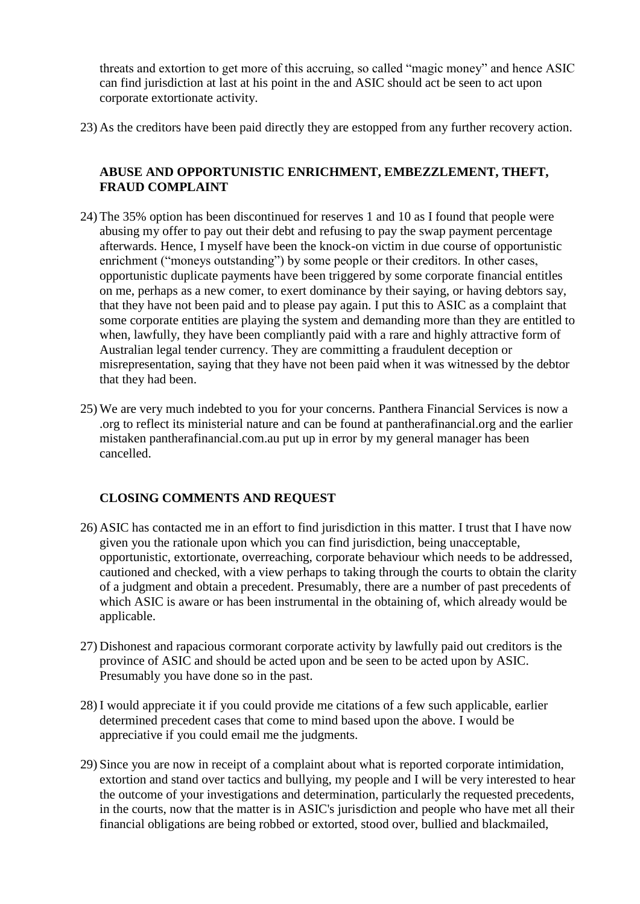threats and extortion to get more of this accruing, so called "magic money" and hence ASIC can find jurisdiction at last at his point in the and ASIC should act be seen to act upon corporate extortionate activity.

23) As the creditors have been paid directly they are estopped from any further recovery action.

# **ABUSE AND OPPORTUNISTIC ENRICHMENT, EMBEZZLEMENT, THEFT, FRAUD COMPLAINT**

- 24) The 35% option has been discontinued for reserves 1 and 10 as I found that people were abusing my offer to pay out their debt and refusing to pay the swap payment percentage afterwards. Hence, I myself have been the knock-on victim in due course of opportunistic enrichment ("moneys outstanding") by some people or their creditors. In other cases, opportunistic duplicate payments have been triggered by some corporate financial entitles on me, perhaps as a new comer, to exert dominance by their saying, or having debtors say, that they have not been paid and to please pay again. I put this to ASIC as a complaint that some corporate entities are playing the system and demanding more than they are entitled to when, lawfully, they have been compliantly paid with a rare and highly attractive form of Australian legal tender currency. They are committing a fraudulent deception or misrepresentation, saying that they have not been paid when it was witnessed by the debtor that they had been.
- 25) We are very much indebted to you for your concerns. Panthera Financial Services is now a .org to reflect its ministerial nature and can be found at pantherafinancial.org and the earlier mistaken pantherafinancial.com.au put up in error by my general manager has been cancelled.

## **CLOSING COMMENTS AND REQUEST**

- 26) ASIC has contacted me in an effort to find jurisdiction in this matter. I trust that I have now given you the rationale upon which you can find jurisdiction, being unacceptable, opportunistic, extortionate, overreaching, corporate behaviour which needs to be addressed, cautioned and checked, with a view perhaps to taking through the courts to obtain the clarity of a judgment and obtain a precedent. Presumably, there are a number of past precedents of which ASIC is aware or has been instrumental in the obtaining of, which already would be applicable.
- 27) Dishonest and rapacious cormorant corporate activity by lawfully paid out creditors is the province of ASIC and should be acted upon and be seen to be acted upon by ASIC. Presumably you have done so in the past.
- 28) I would appreciate it if you could provide me citations of a few such applicable, earlier determined precedent cases that come to mind based upon the above. I would be appreciative if you could email me the judgments.
- 29) Since you are now in receipt of a complaint about what is reported corporate intimidation, extortion and stand over tactics and bullying, my people and I will be very interested to hear the outcome of your investigations and determination, particularly the requested precedents, in the courts, now that the matter is in ASIC's jurisdiction and people who have met all their financial obligations are being robbed or extorted, stood over, bullied and blackmailed,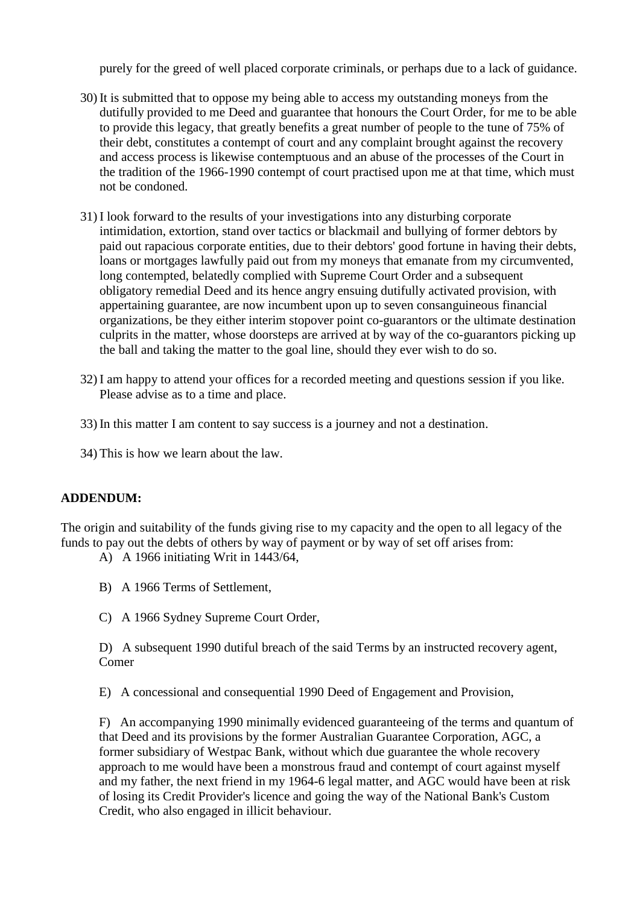purely for the greed of well placed corporate criminals, or perhaps due to a lack of guidance.

- 30) It is submitted that to oppose my being able to access my outstanding moneys from the dutifully provided to me Deed and guarantee that honours the Court Order, for me to be able to provide this legacy, that greatly benefits a great number of people to the tune of 75% of their debt, constitutes a contempt of court and any complaint brought against the recovery and access process is likewise contemptuous and an abuse of the processes of the Court in the tradition of the 1966-1990 contempt of court practised upon me at that time, which must not be condoned.
- 31) I look forward to the results of your investigations into any disturbing corporate intimidation, extortion, stand over tactics or blackmail and bullying of former debtors by paid out rapacious corporate entities, due to their debtors' good fortune in having their debts, loans or mortgages lawfully paid out from my moneys that emanate from my circumvented, long contempted, belatedly complied with Supreme Court Order and a subsequent obligatory remedial Deed and its hence angry ensuing dutifully activated provision, with appertaining guarantee, are now incumbent upon up to seven consanguineous financial organizations, be they either interim stopover point co-guarantors or the ultimate destination culprits in the matter, whose doorsteps are arrived at by way of the co-guarantors picking up the ball and taking the matter to the goal line, should they ever wish to do so.
- 32) I am happy to attend your offices for a recorded meeting and questions session if you like. Please advise as to a time and place.
- 33) In this matter I am content to say success is a journey and not a destination.
- 34) This is how we learn about the law.

## **ADDENDUM:**

The origin and suitability of the funds giving rise to my capacity and the open to all legacy of the funds to pay out the debts of others by way of payment or by way of set off arises from:

A) A 1966 initiating Writ in 1443/64,

- B) A 1966 Terms of Settlement,
- C) A 1966 Sydney Supreme Court Order,

D) A subsequent 1990 dutiful breach of the said Terms by an instructed recovery agent, Comer

E) A concessional and consequential 1990 Deed of Engagement and Provision,

F) An accompanying 1990 minimally evidenced guaranteeing of the terms and quantum of that Deed and its provisions by the former Australian Guarantee Corporation, AGC, a former subsidiary of Westpac Bank, without which due guarantee the whole recovery approach to me would have been a monstrous fraud and contempt of court against myself and my father, the next friend in my 1964-6 legal matter, and AGC would have been at risk of losing its Credit Provider's licence and going the way of the National Bank's Custom Credit, who also engaged in illicit behaviour.